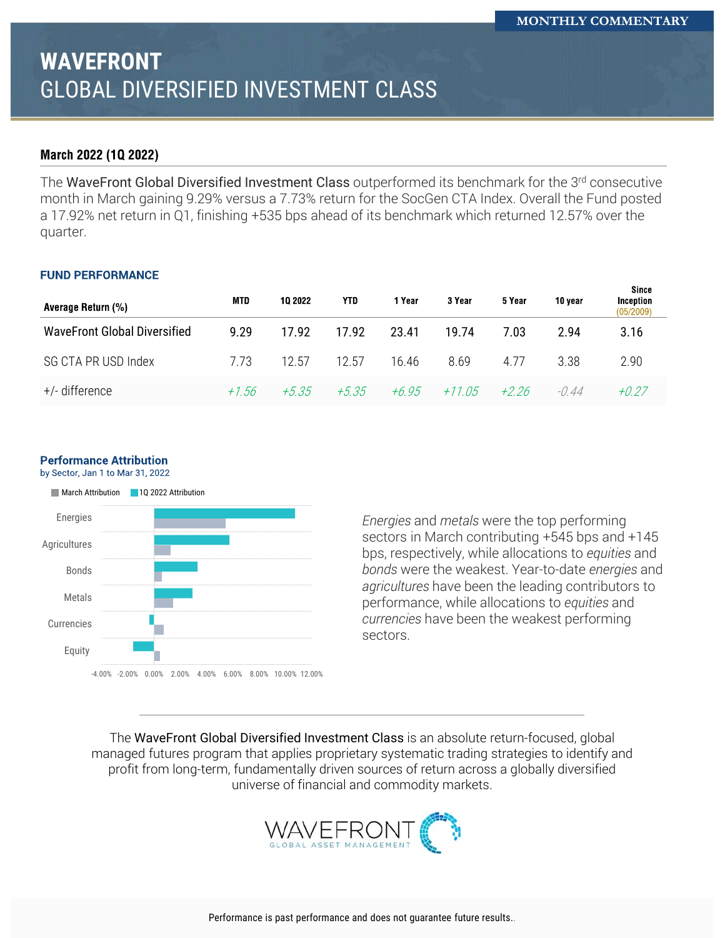# **WAVEFRONT** GLOBAL DIVERSIFIED INVESTMENT CLASS

### March 2022 (10 2022)

The WaveFront Global Diversified Investment Class outperformed its benchmark for the 3<sup>rd</sup> consecutive month in March gaining 9.29% versus a 7.73% return for the SocGen CTA Index. Overall the Fund posted a 17.92% net return in Q1, finishing +535 bps ahead of its benchmark which returned 12.57% over the quarter.

#### **FUND PERFORMANCE**

| Average Return (%)           | MTD   | 10 2022 | YTD     | 1 Year  | 3 Year   | 5 Year | 10 year | since<br>Inception<br>(05/2009) |
|------------------------------|-------|---------|---------|---------|----------|--------|---------|---------------------------------|
| WaveFront Global Diversified | 9.29  | 17.92   | 17.92   | 23.41   | 19.74    | 7.03   | 2.94    | 3.16                            |
| SG CTA PR USD Index          | 7.73  | 12.57   | 12.57   | 16.46   | 8.69     | 4 77   | 3.38    | 2.90                            |
| +/- difference               | +1.56 | $+5.35$ | $+5.35$ | $+6.95$ | $+11.05$ | +2 26  | -0 44   | +0.27                           |

#### **Performance Attribution**

by Sector, Jan 1 to Mar 31, 2022



*Energies* and *metals* were the top performing sectors in March contributing +545 bps and +145 bps, respectively, while allocations to *equities* and *bonds* were the weakest. Year-to-date *energies* and *agricultures* have been the leading contributors to performance, while allocations to *equities* and *currencies* have been the weakest performing sectors.

The WaveFront Global Diversified Investment Class is an absolute return-focused, global managed futures program that applies proprietary systematic trading strategies to identify and profit from long-term, fundamentally driven sources of return across a globally diversified universe of financial and commodity markets.